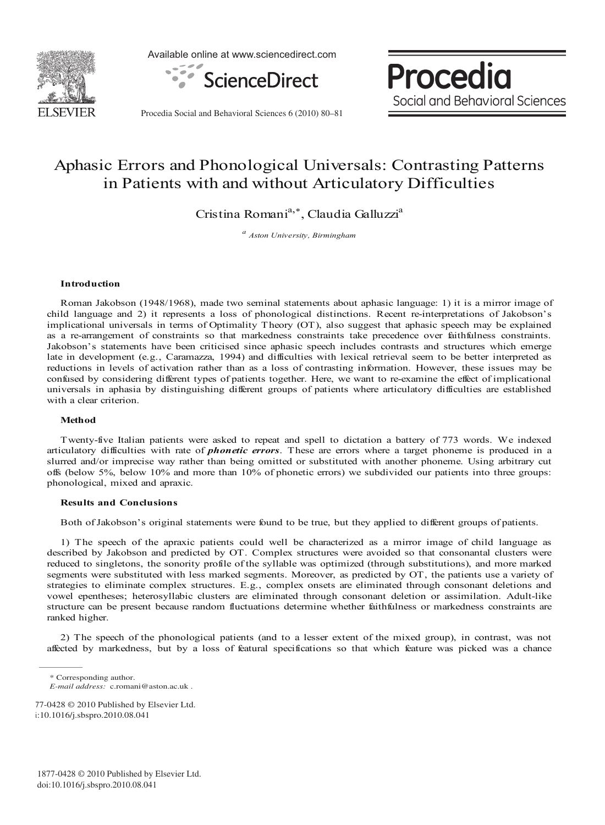

Available online at www.sciencedirect.com



Procedia Social and Behavioral Sciences

Procedia Social and Behavioral Sciences 6 (2010) 80-81

# Aphasic Errors and Phonological Universals: Contrasting Patterns in Patients with and without Articulatory Difficulties

Cristina Romani<sup>a,\*</sup>, Claudia Galluzzi<sup>a</sup>

<sup>a</sup> Aston University, Birmingham

## Introduction

Roman Jakobson (1948/1968), made two seminal statements about aphasic language: 1) it is a mirror image of child language and 2) it represents a loss of phonological distinctions. Recent re-interpretations of Jakobson's implicational universals in terms of Optimality Theory (OT), also suggest that aphasic speech may be explained as a re-arrangement of constraints so that markedness constraints take precedence over faithfulness constraints. Jakobson's statements have been criticised since aphasic speech includes contrasts and structures which emerge late in development (e.g., Caramazza, 1994) and difficulties with lexical retrieval seem to be better interpreted as reductions in levels of activation rather than as a loss of contrasting information. However, these issues may be confused by considering different types of patients together. Here, we want to re-examine the effect of implicational universals in aphasia by distinguishing different groups of patients where articulatory difficulties are established with a clear criterion.

#### Method

Twenty-five Italian patients were asked to repeat and spell to dictation a battery of 773 words. We indexed articulatory difficulties with rate of *phonetic errors*. These are errors where a target phoneme is produced in a slurred and/or imprecise way rather than being omitted or substituted with another phoneme. Using arbitrary cut offs (below 5%, below 10% and more than 10% of phonetic errors) we subdivided our patients into three groups: phonological, mixed and apraxic.

### **Results and Conclusions**

Both of Jakobson's original statements were found to be true, but they applied to different groups of patients.

1) The speech of the apraxic patients could well be characterized as a mirror image of child language as described by Jakobson and predicted by OT. Complex structures were avoided so that consonantal clusters were reduced to singletons, the sonority profile of the syllable was optimized (through substitutions), and more marked segments were substituted with less marked segments. Moreover, as predicted by OT, the patients use a variety of strategies to eliminate complex structures. E.g., complex onsets are eliminated through consonant deletions and vowel epentheses; heterosyllabic clusters are eliminated through consonant deletion or assimilation. Adult-like structure can be present because random fluctuations determine whether faithfulness or markedness constraints are ranked higher.

2) The speech of the phonological patients (and to a lesser extent of the mixed group), in contrast, was not affected by markedness, but by a loss of featural specifications so that which feature was picked was a chance

<sup>\*</sup> Corresponding author.

E-mail address: c.romani@aston.ac.uk.

<sup>77-0428 © 2010</sup> Published by Elsevier Ltd. i:10.1016/j.sbspro.2010.08.041